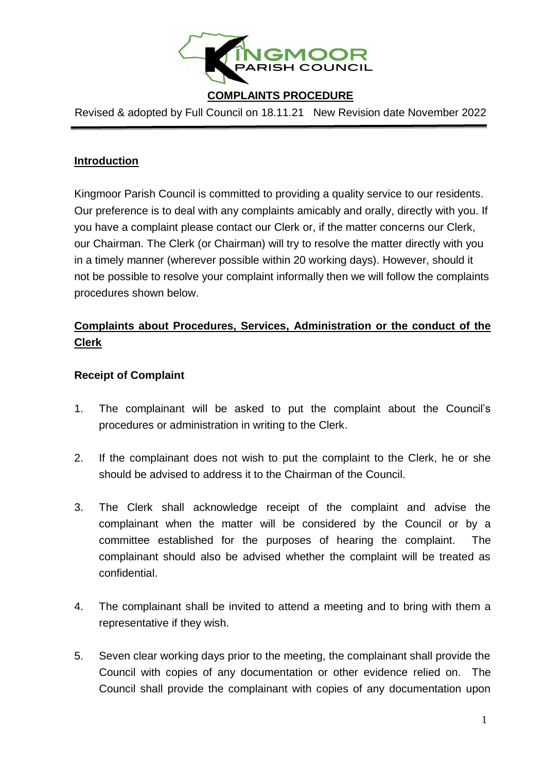

# **COMPLAINTS PROCEDURE**

Revised & adopted by Full Council on 18.11.21 New Revision date November 2022

### **Introduction**

Kingmoor Parish Council is committed to providing a quality service to our residents. Our preference is to deal with any complaints amicably and orally, directly with you. If you have a complaint please contact our Clerk or, if the matter concerns our Clerk, our Chairman. The Clerk (or Chairman) will try to resolve the matter directly with you in a timely manner (wherever possible within 20 working days). However, should it not be possible to resolve your complaint informally then we will follow the complaints procedures shown below.

# **Complaints about Procedures, Services, Administration or the conduct of the Clerk**

### **Receipt of Complaint**

- 1. The complainant will be asked to put the complaint about the Council's procedures or administration in writing to the Clerk.
- 2. If the complainant does not wish to put the complaint to the Clerk, he or she should be advised to address it to the Chairman of the Council.
- 3. The Clerk shall acknowledge receipt of the complaint and advise the complainant when the matter will be considered by the Council or by a committee established for the purposes of hearing the complaint. The complainant should also be advised whether the complaint will be treated as confidential.
- 4. The complainant shall be invited to attend a meeting and to bring with them a representative if they wish.
- 5. Seven clear working days prior to the meeting, the complainant shall provide the Council with copies of any documentation or other evidence relied on. The Council shall provide the complainant with copies of any documentation upon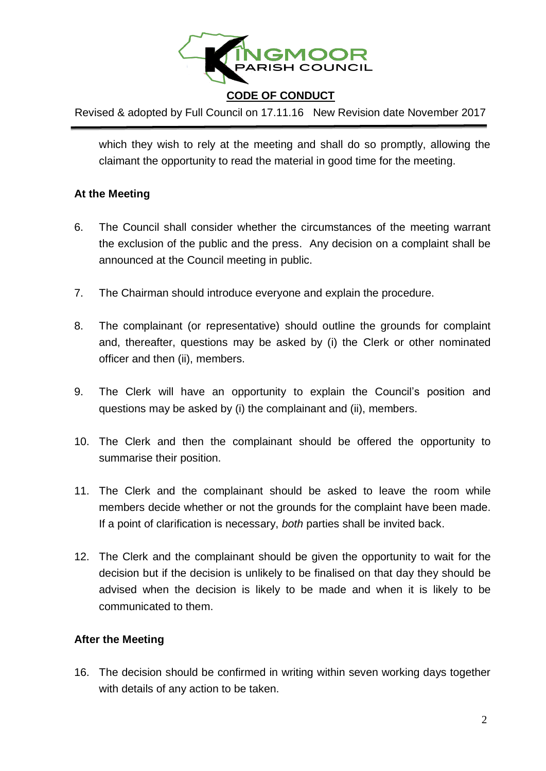

# **CODE OF CONDUCT**

Revised & adopted by Full Council on 17.11.16 New Revision date November 2017

which they wish to rely at the meeting and shall do so promptly, allowing the claimant the opportunity to read the material in good time for the meeting.

#### **At the Meeting**

- 6. The Council shall consider whether the circumstances of the meeting warrant the exclusion of the public and the press. Any decision on a complaint shall be announced at the Council meeting in public.
- 7. The Chairman should introduce everyone and explain the procedure.
- 8. The complainant (or representative) should outline the grounds for complaint and, thereafter, questions may be asked by (i) the Clerk or other nominated officer and then (ii), members.
- 9. The Clerk will have an opportunity to explain the Council's position and questions may be asked by (i) the complainant and (ii), members.
- 10. The Clerk and then the complainant should be offered the opportunity to summarise their position.
- 11. The Clerk and the complainant should be asked to leave the room while members decide whether or not the grounds for the complaint have been made. If a point of clarification is necessary, *both* parties shall be invited back.
- 12. The Clerk and the complainant should be given the opportunity to wait for the decision but if the decision is unlikely to be finalised on that day they should be advised when the decision is likely to be made and when it is likely to be communicated to them.

#### **After the Meeting**

16. The decision should be confirmed in writing within seven working days together with details of any action to be taken.